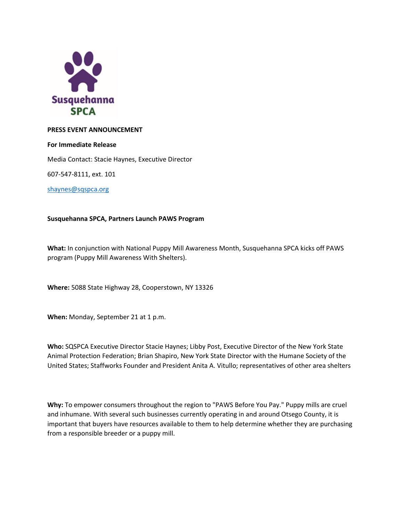

## **PRESS EVENT ANNOUNCEMENT**

### **For Immediate Release**

Media Contact: Stacie Haynes, Executive Director

607-547-8111, ext. 101

[shaynes@sqspca.org](mailto:shaynes@sqspca.org)

# **Susquehanna SPCA, Partners Launch PAWS Program**

**What:** In conjunction with National Puppy Mill Awareness Month, Susquehanna SPCA kicks off PAWS program (Puppy Mill Awareness With Shelters).

**Where:** 5088 State Highway 28, Cooperstown, NY 13326

**When:** Monday, September 21 at 1 p.m.

**Who:** SQSPCA Executive Director Stacie Haynes; Libby Post, Executive Director of the New York State Animal Protection Federation; Brian Shapiro, New York State Director with the Humane Society of the United States; Staffworks Founder and President Anita A. Vitullo; representatives of other area shelters

**Why:** To empower consumers throughout the region to "PAWS Before You Pay." Puppy mills are cruel and inhumane. With several such businesses currently operating in and around Otsego County, it is important that buyers have resources available to them to help determine whether they are purchasing from a responsible breeder or a puppy mill.